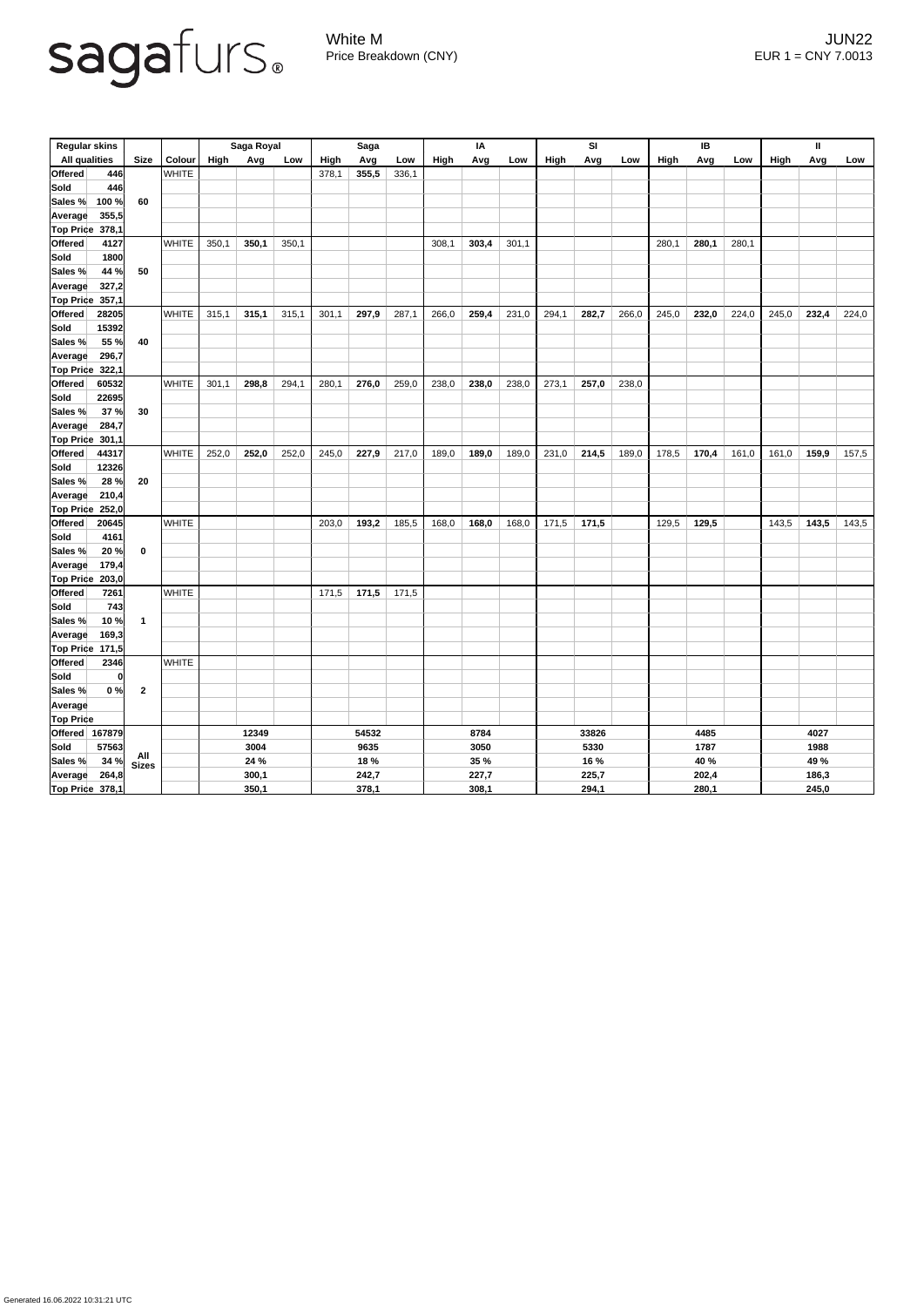

White M JUN22 Price Breakdown (CNY) EUR 1 = CNY 7.0013

| <b>Regular skins</b>                                            |                  |               | Saga Royal  |       |       | <b>Saga</b> |       |       | IA          |             |       | <b>SI</b> |       |       | IB          |       |       | $\mathbf{I}$ |       |       |  |
|-----------------------------------------------------------------|------------------|---------------|-------------|-------|-------|-------------|-------|-------|-------------|-------------|-------|-----------|-------|-------|-------------|-------|-------|--------------|-------|-------|--|
| <b>All qualities</b>                                            | <b>Size</b>      | <b>Colour</b> | <b>High</b> | Avg   | Low   | High        | Avg   | Low   | <b>High</b> | Avg         | Low   | High      | Avg   | Low   | <b>High</b> | Avg   | Low   | <b>High</b>  | Avg   | Low   |  |
| <b>Offered</b><br>446                                           |                  | <b>WHITE</b>  |             |       |       | 378,1       | 355,5 | 336,1 |             |             |       |           |       |       |             |       |       |              |       |       |  |
| <b>Sold</b><br>446                                              |                  |               |             |       |       |             |       |       |             |             |       |           |       |       |             |       |       |              |       |       |  |
| 100 %<br>Sales %                                                | 60               |               |             |       |       |             |       |       |             |             |       |           |       |       |             |       |       |              |       |       |  |
| 355,5<br><b>Average</b>                                         |                  |               |             |       |       |             |       |       |             |             |       |           |       |       |             |       |       |              |       |       |  |
| <b>Top Price</b><br>378,1                                       |                  |               |             |       |       |             |       |       |             |             |       |           |       |       |             |       |       |              |       |       |  |
| <b>Offered</b><br>4127                                          |                  | <b>WHITE</b>  | 350,1       | 350,1 | 350,1 |             |       |       | 308,1       | 303,4       | 301,1 |           |       |       | 280,1       | 280,1 | 280,1 |              |       |       |  |
| <b>Sold</b><br>1800                                             |                  |               |             |       |       |             |       |       |             |             |       |           |       |       |             |       |       |              |       |       |  |
| 44 %<br>Sales %                                                 | 50               |               |             |       |       |             |       |       |             |             |       |           |       |       |             |       |       |              |       |       |  |
| 327,2<br><b>Average</b>                                         |                  |               |             |       |       |             |       |       |             |             |       |           |       |       |             |       |       |              |       |       |  |
| 357,1<br><b>Top Price</b>                                       |                  |               |             |       |       |             |       |       |             |             |       |           |       |       |             |       |       |              |       |       |  |
| <b>Offered</b><br>28205                                         |                  | <b>WHITE</b>  | 315,1       | 315,1 | 315,1 | 301,1       | 297,9 | 287,1 | 266,0       | 259,4       | 231,0 | 294,1     | 282,7 | 266,0 | 245,0       | 232,0 | 224,0 | 245,0        | 232,4 | 224,0 |  |
| <b>Sold</b><br>15392                                            |                  |               |             |       |       |             |       |       |             |             |       |           |       |       |             |       |       |              |       |       |  |
| 55 %<br>Sales %                                                 | 40               |               |             |       |       |             |       |       |             |             |       |           |       |       |             |       |       |              |       |       |  |
| 296,7<br><b>Average</b>                                         |                  |               |             |       |       |             |       |       |             |             |       |           |       |       |             |       |       |              |       |       |  |
| <b>Top Price</b><br>322,1                                       |                  |               |             |       |       |             |       |       |             |             |       |           |       |       |             |       |       |              |       |       |  |
| Offered<br>60532                                                |                  | <b>WHITE</b>  | 301,1       | 298,8 | 294,1 | 280,1       | 276,0 | 259,0 | 238,0       | 238,0       | 238,0 | 273,1     | 257,0 | 238,0 |             |       |       |              |       |       |  |
| 22695<br> Sold                                                  |                  |               |             |       |       |             |       |       |             |             |       |           |       |       |             |       |       |              |       |       |  |
| 37%<br>Sales %                                                  | 30               |               |             |       |       |             |       |       |             |             |       |           |       |       |             |       |       |              |       |       |  |
| 284,7<br><b>Average</b>                                         |                  |               |             |       |       |             |       |       |             |             |       |           |       |       |             |       |       |              |       |       |  |
| <b>Top Price</b><br>301,1                                       |                  |               |             |       |       |             |       |       |             |             |       |           |       |       |             |       |       |              |       |       |  |
| <b>Offered</b><br>44317                                         |                  | <b>WHITE</b>  | 252,0       | 252,0 | 252,0 | 245,0       | 227,9 | 217,0 | 189,0       | 189,0       | 189,0 | 231,0     | 214,5 | 189,0 | 178,5       | 170,4 | 161,0 | 161,0        | 159,9 | 157,5 |  |
| 12326<br> Sold                                                  |                  |               |             |       |       |             |       |       |             |             |       |           |       |       |             |       |       |              |       |       |  |
| Sales %<br>28 %                                                 | 20               |               |             |       |       |             |       |       |             |             |       |           |       |       |             |       |       |              |       |       |  |
| Average<br>210,4                                                |                  |               |             |       |       |             |       |       |             |             |       |           |       |       |             |       |       |              |       |       |  |
| $\begin{bmatrix} \text{Top} \text{Price} & 252,0 \end{bmatrix}$ |                  |               |             |       |       |             |       |       |             |             |       |           |       |       |             |       |       |              |       |       |  |
| Offered<br>20645                                                |                  | <b>WHITE</b>  |             |       |       | 203,0       | 193,2 | 185,5 | 168,0       | 168,0       | 168,0 | 171,5     | 171,5 |       | 129,5       | 129,5 |       | 143,5        | 143,5 | 143,5 |  |
| Sold<br>4161                                                    |                  |               |             |       |       |             |       |       |             |             |       |           |       |       |             |       |       |              |       |       |  |
| Sales %<br>20%                                                  | $\mathbf 0$      |               |             |       |       |             |       |       |             |             |       |           |       |       |             |       |       |              |       |       |  |
| 179,4<br><b>Average</b>                                         |                  |               |             |       |       |             |       |       |             |             |       |           |       |       |             |       |       |              |       |       |  |
| <b>Top Price</b><br>203,0                                       |                  |               |             |       |       |             |       |       |             |             |       |           |       |       |             |       |       |              |       |       |  |
| <b>Offered</b><br>7261                                          |                  | <b>WHITE</b>  |             |       |       | 171,5       | 171,5 | 171,5 |             |             |       |           |       |       |             |       |       |              |       |       |  |
| Sold<br>$743$                                                   |                  |               |             |       |       |             |       |       |             |             |       |           |       |       |             |       |       |              |       |       |  |
| Sales %<br>10%                                                  | $\overline{1}$   |               |             |       |       |             |       |       |             |             |       |           |       |       |             |       |       |              |       |       |  |
| 169,3<br>Average                                                |                  |               |             |       |       |             |       |       |             |             |       |           |       |       |             |       |       |              |       |       |  |
| <b>Top Price 171,5</b>                                          |                  |               |             |       |       |             |       |       |             |             |       |           |       |       |             |       |       |              |       |       |  |
| Offered<br>2346                                                 |                  | <b>WHITE</b>  |             |       |       |             |       |       |             |             |       |           |       |       |             |       |       |              |       |       |  |
| Sold                                                            | 0                |               |             |       |       |             |       |       |             |             |       |           |       |       |             |       |       |              |       |       |  |
| Sales %<br>0%                                                   | $\boldsymbol{2}$ |               |             |       |       |             |       |       |             |             |       |           |       |       |             |       |       |              |       |       |  |
| Average                                                         |                  |               |             |       |       |             |       |       |             |             |       |           |       |       |             |       |       |              |       |       |  |
| <b>Top Price</b>                                                |                  |               |             |       |       |             |       |       |             |             |       |           |       |       |             |       |       |              |       |       |  |
| Offered 167879                                                  |                  |               | 12349       |       |       | 54532       |       |       | 8784        |             |       | 33826     |       |       | 4485        |       |       |              | 4027  |       |  |
| Sold <br>57563                                                  |                  |               | 3004        |       |       | 9635        |       |       |             | 3050        |       |           | 5330  |       |             | 1787  |       |              | 1988  |       |  |
| Sales %<br>34%                                                  | All<br>Sizes     |               |             | 24 %  |       | 18 %        |       |       |             | <b>35 %</b> |       |           | 16 %  |       |             | 40 %  |       |              | 49 %  |       |  |
| 264,8<br>Average                                                |                  |               | 300,1       |       |       |             | 242,7 |       |             | 227,7       |       |           | 225,7 |       |             | 202,4 |       |              | 186,3 |       |  |
| <b>Top Price 378,1</b>                                          |                  |               |             | 350,1 |       |             | 378,1 |       |             | 308,1       |       |           | 294,1 |       |             | 280,1 |       |              | 245,0 |       |  |